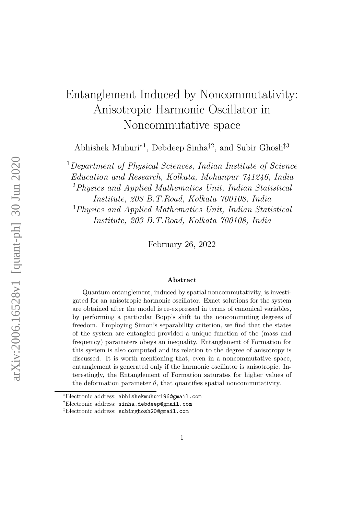# Entanglement Induced by Noncommutativity: Anisotropic Harmonic Oscillator in Noncommutative space

Abhishek Muhuri<sup>∗</sup><sup>1</sup> , Debdeep Sinha†<sup>2</sup> , and Subir Ghosh‡<sup>3</sup>

 $1$ Department of Physical Sciences, Indian Institute of Science

Education and Research, Kolkata, Mohanpur 741246, India

<sup>2</sup>Physics and Applied Mathematics Unit, Indian Statistical

Institute, 203 B.T.Road, Kolkata 700108, India

<sup>3</sup>Physics and Applied Mathematics Unit, Indian Statistical Institute, 203 B.T.Road, Kolkata 700108, India

February 26, 2022

#### Abstract

Quantum entanglement, induced by spatial noncommutativity, is investigated for an anisotropic harmonic oscillator. Exact solutions for the system are obtained after the model is re-expressed in terms of canonical variables, by performing a particular Bopp's shift to the noncommuting degrees of freedom. Employing Simon's separability criterion, we find that the states of the system are entangled provided a unique function of the (mass and frequency) parameters obeys an inequality. Entanglement of Formation for this system is also computed and its relation to the degree of anisotropy is discussed. It is worth mentioning that, even in a noncommutative space, entanglement is generated only if the harmonic oscillator is anisotropic. Interestingly, the Entanglement of Formation saturates for higher values of the deformation parameter  $\theta$ , that quantifies spatial noncommutativity.

<sup>∗</sup>Electronic address: abhishekmuhuri96@gmail.com

<sup>†</sup>Electronic address: sinha.debdeep@gmail.com

<sup>‡</sup>Electronic address: subirghosh20@gmail.com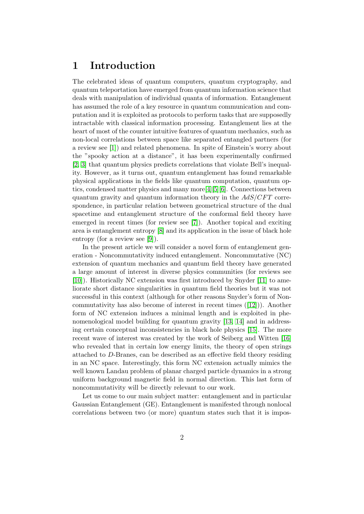#### 1 Introduction

The celebrated ideas of quantum computers, quantum cryptography, and quantum teleportation have emerged from quantum information science that deals with manipulation of individual quanta of information. Entanglement has assumed the role of a key resource in quantum communication and computation and it is exploited as protocols to perform tasks that are supposedly intractable with classical information processing. Entanglement lies at the heart of most of the counter intuitive features of quantum mechanics, such as non-local correlations between space like separated entangled partners (for a review see [\[1\]](#page-17-0)) and related phenomena. In spite of Einstein's worry about the "spooky action at a distance", it has been experimentally confirmed [\[2,](#page-17-1) [3\]](#page-17-2) that quantum physics predicts correlations that violate Bell's inequality. However, as it turns out, quantum entanglement has found remarkable physical applications in the fields like quantum computation, quantum optics, condensed matter physics and many more[\[4\]](#page-17-3)[\[5\]](#page-17-4)[\[6\]](#page-17-5). Connections between quantum gravity and quantum information theory in the  $AdS/CFT$  correspondence, in particular relation between geometrical structure of the dual spacetime and entanglement structure of the conformal field theory have emerged in recent times (for review see [\[7\]](#page-17-6)). Another topical and exciting area is entanglement entropy [\[8\]](#page-17-7) and its application in the issue of black hole entropy (for a review see [\[9\]](#page-17-8)).

In the present article we will consider a novel form of entanglement generation - Noncommutativity induced entanglement. Noncommutative (NC) extension of quantum mechanics and quantum field theory have generated a large amount of interest in diverse physics communities (for reviews see [\[10\]](#page-17-9)). Historically NC extension was first introduced by Snyder [\[11\]](#page-17-10) to ameliorate short distance singularities in quantum field theories but it was not successful in this context (although for other reasons Snyder's form of Noncommutativity has also become of interest in recent times ([\[12\]](#page-17-11))). Another form of NC extension induces a minimal length and is exploited in phenomenological model building for quantum gravity [\[13,](#page-17-12) [14\]](#page-17-13) and in addressing certain conceptual inconsistencies in black hole physics [\[15\]](#page-17-14). The more recent wave of interest was created by the work of Seiberg and Witten [\[16\]](#page-17-15) who revealed that in certain low energy limits, the theory of open strings attached to D-Branes, can be described as an effective field theory residing in an NC space. Interestingly, this form NC extension actually mimics the well known Landau problem of planar charged particle dynamics in a strong uniform background magnetic field in normal direction. This last form of noncommutativity will be directly relevant to our work.

Let us come to our main subject matter: entanglement and in particular Gaussian Entanglement (GE). Entanglement is manifested through nonlocal correlations between two (or more) quantum states such that it is impos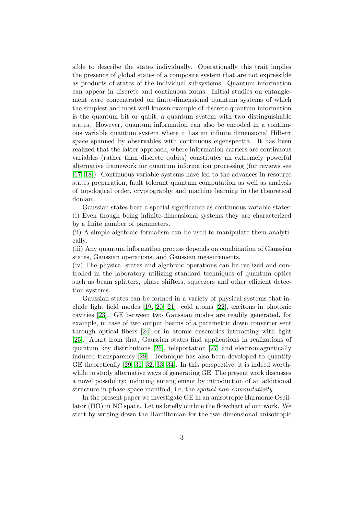sible to describe the states individually. Operationally this trait implies the presence of global states of a composite system that are not expressible as products of states of the individual subsystems. Quantum information can appear in discrete and continuous forms. Initial studies on entanglement were concentrated on finite-dimensional quantum systems of which the simplest and most well-known example of discrete quantum information is the quantum bit or qubit, a quantum system with two distinguishable states. However, quantum information can also be encoded in a continuous variable quantum system where it has an infinite dimensional Hilbert space spanned by observables with continuous eigenspectra. It has been realized that the latter approach, where information carriers are continuous variables (rather than discrete qubits) constitutes an extremely powerful alternative framework for quantum information processing (for reviews see [\[17,](#page-18-0) [18\]](#page-18-1)). Continuous variable systems have led to the advances in resource states preparation, fault tolerant quantum computation as well as analysis of topological order, cryptography and machine learning in the theoretical domain.

Gaussian states bear a special significance as continuous variable states: (i) Even though being infinite-dimensional systems they are characterized by a finite number of parameters.

(ii) A simple algebraic formalism can be used to manipulate them analytically.

(iii) Any quantum information process depends on combination of Gaussian states, Gaussian operations, and Gaussian measurements.

(iv) The physical states and algebraic operations can be realized and controlled in the laboratory utilizing standard techniques of quantum optics such as beam splitters, phase shifters, squeezers and other efficient detection systems.

Gaussian states can be formed in a variety of physical systems that include light field modes [\[19,](#page-18-2) [20,](#page-18-3) [21\]](#page-18-4), cold atoms [\[22\]](#page-18-5), excitons in photonic cavities [\[23\]](#page-18-6). GE between two Gaussian modes are readily generated, for example, in case of two output beams of a parametric down converter sent through optical fibers [\[24\]](#page-18-7) or in atomic ensembles interacting with light [\[25\]](#page-18-8). Apart from that, Gaussian states find applications in realizations of quantum key distributions [\[26\]](#page-18-9), teleportation [\[27\]](#page-18-10) and electromagnetically induced transparency [\[28\]](#page-18-11). Technique has also been developed to quantify GE theoretically [\[29,](#page-18-12) [31,](#page-18-13) [32,](#page-18-14) [33,](#page-18-15) [34\]](#page-18-16). In this perspective, it is indeed worthwhile to study alternative ways of generating GE. The present work discusses a novel possibility: inducing entanglement by introduction of an additional structure in phase-space manifold, i.e, the spatial non-commutativity.

In the present paper we investigate GE in an anisotropic Harmonic Oscillator (HO) in NC space. Let us briefly outline the flowchart of our work. We start by writing down the Hamiltonian for the two-dimensional anisotropic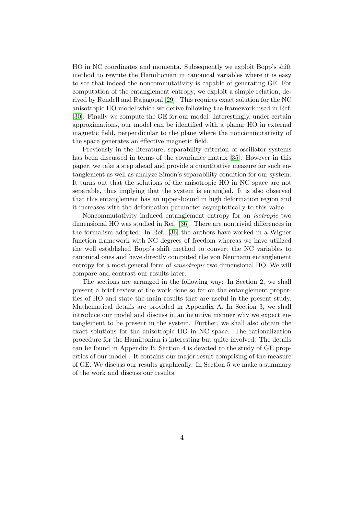HO in NC coordinates and momenta. Subsequently we exploit Bopp's shift method to rewrite the Hamiltonian in canonical variables where it is easy to see that indeed the noncommutativity is capable of generating GE. For computation of the entanglement entropy, we exploit a simple relation, derived by Rendell and Rajagopal [\[29\]](#page-18-12). This requires exact solution for the NC anisotropic HO model which we derive following the framework used in Ref. [\[30\]](#page-18-17). Finally we compute the GE for our model. Interestingly, under certain approximations, our model can be identified with a planar HO in external magnetic field, perpendicular to the plane where the noncommutativity of the space generates an effective magnetic field.

Previously in the literature, separability criterion of oscillator systems has been discussed in terms of the covariance matrix [\[35\]](#page-18-18). However in this paper, we take a step ahead and provide a quantitative measure for such entanglement as well as analyze Simon's separability condition for our system. It turns out that the solutions of the anisotropic HO in NC space are not separable, thus implying that the system is entangled. It is also observed that this entanglement has an upper-bound in high deformation region and it increases with the deformation parameter asymptotically to this value.

Noncommutativity induced entanglement entropy for an isotropic two dimensional HO was studied in Ref. [\[36\]](#page-18-19). There are nontrivial differences in the formalism adopted: In Ref. [\[36\]](#page-18-19) the authors have worked in a Wigner function framework with NC degrees of freedom whereas we have utilized the well established Bopp's shift method to convert the NC variables to canonical ones and have directly computed the von Neumann entanglement entropy for a most general form of anisotropic two dimensional HO. We will compare and contrast our results later.

The sections are arranged in the following way: In Section 2, we shall present a brief review of the work done so far on the entanglement properties of HO and state the main results that are useful in the present study. Mathematical details are provided in Appendix A. In Section 3, we shall introduce our model and discuss in an intuitive manner why we expect entanglement to be present in the system. Further, we shall also obtain the exact solutions for the anisotropic HO in NC space. The rationalization procedure for the Hamiltonian is interesting but quite involved. The details can be found in Appendix B. Section 4 is devoted to the study of GE properties of our model . It contains our major result comprising of the measure of GE. We discuss our results graphically. In Section 5 we make a summary of the work and discuss our results.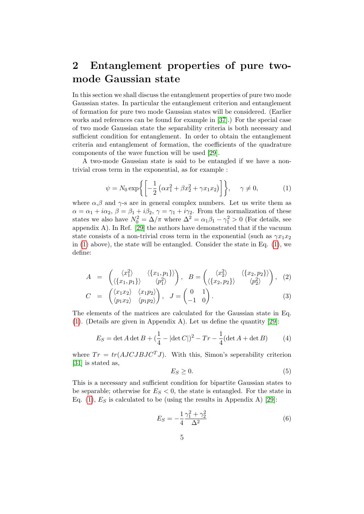### 2 Entanglement properties of pure twomode Gaussian state

In this section we shall discuss the entanglement properties of pure two mode Gaussian states. In particular the entanglement criterion and entanglement of formation for pure two mode Gaussian states will be considered. (Earlier works and references can be found for example in [\[37\]](#page-18-20).) For the special case of two mode Gaussian state the separability criteria is both necessary and sufficient condition for entanglement. In order to obtain the entanglement criteria and entanglement of formation, the coefficients of the quadrature components of the wave function will be used [\[29\]](#page-18-12).

A two-mode Gaussian state is said to be entangled if we have a nontrivial cross term in the exponential, as for example :

<span id="page-4-0"></span>
$$
\psi = N_0 \exp\left\{ \left[ -\frac{1}{2} \left( \alpha x_1^2 + \beta x_2^2 + \gamma x_1 x_2 \right) \right] \right\}, \quad \gamma \neq 0,
$$
 (1)

where  $\alpha, \beta$  and  $\gamma$ -s are in general complex numbers. Let us write them as  $\alpha = \alpha_1 + i\alpha_2$ ,  $\beta = \beta_1 + i\beta_2$ ,  $\gamma = \gamma_1 + i\gamma_2$ . From the normalization of these states we also have  $N_0^2 = \Delta/\pi$  where  $\Delta^2 = \alpha_1 \beta_1 - \gamma_1^2 > 0$  (For details, see appendix  $A$ ). In Ref. [\[29\]](#page-18-12) the authors have demonstrated that if the vacuum state consists of a non-trivial cross term in the exponential (such as  $\gamma x_1 x_2$ in  $(1)$  above), the state will be entangled. Consider the state in Eq.  $(1)$ , we define:

<span id="page-4-2"></span>
$$
A = \begin{pmatrix} \langle x_1^2 \rangle & \langle \{x_1, p_1\} \rangle \\ \langle \{x_1, p_1\} \rangle & \langle p_1^2 \rangle \end{pmatrix}, \quad B = \begin{pmatrix} \langle x_2^2 \rangle & \langle \{x_2, p_2\} \rangle \\ \langle \{x_2, p_2\} \rangle & \langle p_2^2 \rangle \end{pmatrix}, \quad (2)
$$

$$
C = \begin{pmatrix} \langle x_1 x_2 \rangle & \langle x_1 p_2 \rangle \\ \langle p_1 x_2 \rangle & \langle p_1 p_2 \rangle \end{pmatrix}, J = \begin{pmatrix} 0 & 1 \\ -1 & 0 \end{pmatrix}.
$$
 (3)

The elements of the matrices are calculated for the Gaussian state in Eq. [\(1\)](#page-4-0). (Details are given in Appendix A). Let us define the quantity [\[29\]](#page-18-12):

$$
E_S = \det A \det B + (\frac{1}{4} - |\det C|)^2 - Tr - \frac{1}{4} (\det A + \det B) \tag{4}
$$

where  $Tr = tr(AJCJBJC<sup>T</sup>J)$ . With this, Simon's seperability criterion [\[31\]](#page-18-13) is stated as,

$$
E_S \ge 0. \tag{5}
$$

This is a necessary and sufficient condition for bipartite Gaussian states to be separable; otherwise for  $E<sub>S</sub> < 0$ , the state is entangled. For the state in Eq. [\(1\)](#page-4-0),  $E<sub>S</sub>$  is calculated to be (using the results in Appendix A) [\[29\]](#page-18-12):

<span id="page-4-1"></span>
$$
E_S = -\frac{1}{4} \frac{\gamma_1^2 + \gamma_2^2}{\Delta^2} \tag{6}
$$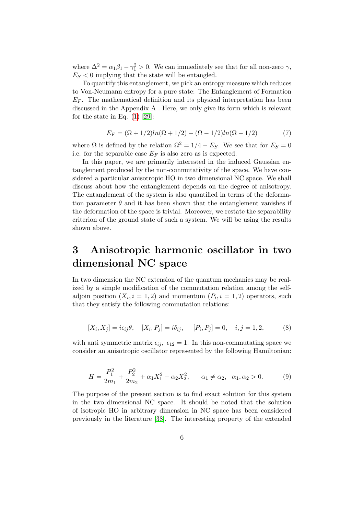where  $\Delta^2 = \alpha_1 \beta_1 - \gamma_1^2 > 0$ . We can immediately see that for all non-zero  $\gamma$ ,  $E<sub>S</sub> < 0$  implying that the state will be entangled.

To quantify this entanglement, we pick an entropy measure which reduces to Von-Neumann entropy for a pure state: The Entanglement of Formation  $E_F$ . The mathematical definition and its physical interpretation has been discussed in the Appendix A . Here, we only give its form which is relevant for the state in Eq.  $(1)$  [\[29\]](#page-18-12):

<span id="page-5-1"></span>
$$
E_F = (\Omega + 1/2)ln(\Omega + 1/2) - (\Omega - 1/2)ln(\Omega - 1/2)
$$
\n(7)

where  $\Omega$  is defined by the relation  $\Omega^2 = 1/4 - E_S$ . We see that for  $E_S = 0$ i.e. for the separable case  $E_F$  is also zero as is expected.

In this paper, we are primarily interested in the induced Gaussian entanglement produced by the non-commutativity of the space. We have considered a particular anisotropic HO in two dimensional NC space. We shall discuss about how the entanglement depends on the degree of anisotropy. The entanglement of the system is also quantified in terms of the deformation parameter  $\theta$  and it has been shown that the entanglement vanishes if the deformation of the space is trivial. Moreover, we restate the separability criterion of the ground state of such a system. We will be using the results shown above.

### 3 Anisotropic harmonic oscillator in two dimensional NC space

In two dimension the NC extension of the quantum mechanics may be realized by a simple modification of the commutation relation among the selfadjoin position  $(X_i, i = 1, 2)$  and momentum  $(P_i, i = 1, 2)$  operators, such that they satisfy the following commutation relations:

<span id="page-5-0"></span>
$$
[X_i, X_j] = i\epsilon_{ij}\theta, \quad [X_i, P_j] = i\delta_{ij}, \quad [P_i, P_j] = 0, \quad i, j = 1, 2,
$$
 (8)

with anti symmetric matrix  $\epsilon_{ij}$ ,  $\epsilon_{12} = 1$ . In this non-commutating space we consider an anisotropic oscillator represented by the following Hamiltonian:

$$
H = \frac{P_1^2}{2m_1} + \frac{P_2^2}{2m_2} + \alpha_1 X_1^2 + \alpha_2 X_2^2, \qquad \alpha_1 \neq \alpha_2, \quad \alpha_1, \alpha_2 > 0. \tag{9}
$$

The purpose of the present section is to find exact solution for this system in the two dimensional NC space. It should be noted that the solution of isotropic HO in arbitrary dimension in NC space has been considered previously in the literature [\[38\]](#page-18-21). The interesting property of the extended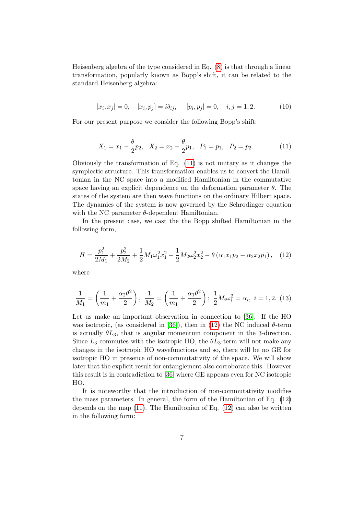Heisenberg algebra of the type considered in Eq. [\(8\)](#page-5-0) is that through a linear transformation, popularly known as Bopp's shift, it can be related to the standard Heisenberg algebra:

$$
[x_i, x_j] = 0, \quad [x_i, p_j] = i\delta_{ij}, \quad [p_i, p_j] = 0, \quad i, j = 1, 2. \tag{10}
$$

For our present purpose we consider the following Bopp's shift:

<span id="page-6-0"></span>
$$
X_1 = x_1 - \frac{\theta}{2}p_2, \quad X_2 = x_2 + \frac{\theta}{2}p_1, \quad P_1 = p_1, \quad P_2 = p_2. \tag{11}
$$

Obviously the transformation of Eq. [\(11\)](#page-6-0) is not unitary as it changes the symplectic structure. This transformation enables us to convert the Hamiltonian in the NC space into a modified Hamiltonian in the commutative space having an explicit dependence on the deformation parameter  $\theta$ . The states of the system are then wave functions on the ordinary Hilbert space. The dynamics of the system is now governed by the Schrodinger equation with the NC parameter  $\theta$ -dependent Hamiltonian.

In the present case, we cast the the Bopp shifted Hamiltonian in the following form,

<span id="page-6-1"></span>
$$
H = \frac{p_1^2}{2M_1} + \frac{p_2^2}{2M_2} + \frac{1}{2}M_1\omega_1^2x_1^2 + \frac{1}{2}M_2\omega_2^2x_2^2 - \theta\left(\alpha_1x_1p_2 - \alpha_2x_2p_1\right), \quad (12)
$$

where

<span id="page-6-2"></span>
$$
\frac{1}{M_1} = \left(\frac{1}{m_1} + \frac{\alpha_2 \theta^2}{2}\right), \quad \frac{1}{M_2} = \left(\frac{1}{m_1} + \frac{\alpha_1 \theta^2}{2}\right); \quad \frac{1}{2} M_i \omega_i^2 = \alpha_i, \quad i = 1, 2. \tag{13}
$$

Let us make an important observation in connection to [\[36\]](#page-18-19). If the HO was isotropic, (as considered in [\[36\]](#page-18-19)), then in [\(12\)](#page-6-1) the NC induced  $\theta$ -term is actually  $\theta L_3$ , that is angular momentum component in the 3-direction. Since  $L_3$  commutes with the isotropic HO, the  $\theta L_3$ -term will not make any changes in the isotropic HO wavefunctions and so, there will be no GE for isotropic HO in presence of non-commutativity of the space. We will show later that the explicit result for entanglement also corroborate this. However this result is in contradiction to [\[36\]](#page-18-19) where GE appears even for NC isotropic HO.

It is noteworthy that the introduction of non-commutativity modifies the mass parameters. In general, the form of the Hamiltonian of Eq. [\(12\)](#page-6-1) depends on the map  $(11)$ . The Hamiltonian of Eq.  $(12)$  can also be written in the following form: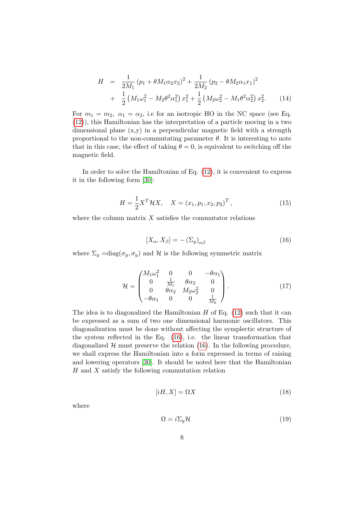$$
H = \frac{1}{2M_1} (p_1 + \theta M_1 \alpha_2 x_2)^2 + \frac{1}{2M_2} (p_2 - \theta M_2 \alpha_1 x_1)^2
$$
  
+ 
$$
\frac{1}{2} (M_1 \omega_1^2 - M_2 \theta^2 \alpha_1^2) x_1^2 + \frac{1}{2} (M_2 \omega_2^2 - M_1 \theta^2 \alpha_2^2) x_2^2.
$$
 (14)

For  $m_1 = m_2$ ,  $\alpha_1 = \alpha_2$ , i.e for an isotropic HO in the NC space (see Eq. [\(12\)](#page-6-1)), this Hamiltonian has the interpretation of a particle moving in a two dimensional plane  $(x,y)$  in a perpendicular magnetic field with a strength proportional to the non-commutating parameter  $\theta$ . It is interesting to note that in this case, the effect of taking  $\theta = 0$ , is equivalent to switching off the magnetic field.

In order to solve the Hamiltonian of Eq. [\(12\)](#page-6-1), it is convenient to express it in the following form [\[30\]](#page-18-17):

<span id="page-7-2"></span>
$$
H = \frac{1}{2}X^T \mathcal{H} X, \quad X = (x_1, p_1, x_2, p_2)^T,
$$
\n(15)

where the column matrix  $X$  satisfies the commutator relations

<span id="page-7-0"></span>
$$
[X_{\alpha}, X_{\beta}] = -(\Sigma_y)_{\alpha\beta} \tag{16}
$$

where  $\Sigma_y = \text{diag}(\sigma_y, \sigma_y)$  and H is the following symmetric matrix

$$
\mathcal{H} = \begin{pmatrix} M_1 \omega_1^2 & 0 & 0 & -\theta \alpha_1 \\ 0 & \frac{1}{M_1} & \theta \alpha_2 & 0 \\ 0 & \theta \alpha_2 & M_2 \omega_2^2 & 0 \\ -\theta \alpha_1 & 0 & 0 & \frac{1}{M_2} \end{pmatrix} .
$$
 (17)

The idea is to diagonalized the Hamiltonian  $H$  of Eq. [\(12\)](#page-6-1) such that it can be expressed as a sum of two one dimensional harmonic oscillators. This diagonalization must be done without affecting the symplectic structure of the system reflected in the Eq. [\(16\)](#page-7-0), i.e. the linear transformation that diagonalized  $H$  must preserve the relation [\(16\)](#page-7-0). In the following procedure, we shall express the Hamiltonian into a form expressed in terms of raising and lowering operators [\[30\]](#page-18-17). It should be noted here that the Hamiltonian  $H$  and  $X$  satisfy the following commutation relation

<span id="page-7-1"></span>
$$
[iH, X] = \Omega X \tag{18}
$$

where

<span id="page-7-3"></span>
$$
\Omega = i\Sigma_y \mathcal{H} \tag{19}
$$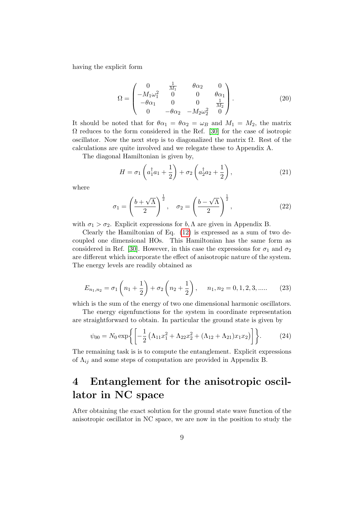having the explicit form

<span id="page-8-1"></span>
$$
\Omega = \begin{pmatrix}\n0 & \frac{1}{M_1} & \theta \alpha_2 & 0 \\
-M_1 \omega_1^2 & 0 & 0 & \theta \alpha_1 \\
-\theta \alpha_1 & 0 & 0 & \frac{1}{M_2} \\
0 & -\theta \alpha_2 & -M_2 \omega_2^2 & 0\n\end{pmatrix}.
$$
\n(20)

It should be noted that for  $\theta \alpha_1 = \theta \alpha_2 = \omega_B$  and  $M_1 = M_2$ , the matrix  $\Omega$  reduces to the form considered in the Ref. [\[30\]](#page-18-17) for the case of isotropic oscillator. Now the next step is to diagonalized the matrix  $\Omega$ . Rest of the calculations are quite involved and we relegate these to Appendix A.

The diagonal Hamiltonian is given by,

<span id="page-8-2"></span>
$$
H = \sigma_1 \left( a_1^{\dagger} a_1 + \frac{1}{2} \right) + \sigma_2 \left( a_2^{\dagger} a_2 + \frac{1}{2} \right), \tag{21}
$$

where

$$
\sigma_1 = \left(\frac{b+\sqrt{\Lambda}}{2}\right)^{\frac{1}{2}}, \quad \sigma_2 = \left(\frac{b-\sqrt{\Lambda}}{2}\right)^{\frac{1}{2}},\tag{22}
$$

with  $\sigma_1 > \sigma_2$ . Explicit expressions for b,  $\Lambda$  are given in Appendix B.

Clearly the Hamiltonian of Eq. [\(12\)](#page-6-1) is expressed as a sum of two decoupled one dimensional HOs. This Hamiltonian has the same form as considered in Ref. [\[30\]](#page-18-17). However, in this case the expressions for  $\sigma_1$  and  $\sigma_2$ are different which incorporate the effect of anisotropic nature of the system. The energy levels are readily obtained as

$$
E_{n_1,n_2} = \sigma_1 \left( n_1 + \frac{1}{2} \right) + \sigma_2 \left( n_2 + \frac{1}{2} \right), \quad n_1, n_2 = 0, 1, 2, 3, \dots \tag{23}
$$

which is the sum of the energy of two one dimensional harmonic oscillators.

The energy eigenfunctions for the system in coordinate representation are straightforward to obtain. In particular the ground state is given by

<span id="page-8-0"></span>
$$
\psi_{00} = N_0 \exp\left\{ \left[ -\frac{1}{2} \left( \Lambda_{11} x_1^2 + \Lambda_{22} x_2^2 + (\Lambda_{12} + \Lambda_{21}) x_1 x_2 \right) \right] \right\}.
$$
 (24)

The remaining task is is to compute the entanglement. Explicit expressions of  $\Lambda_{ij}$  and some steps of computation are provided in Appendix B.

## 4 Entanglement for the anisotropic oscillator in NC space

After obtaining the exact solution for the ground state wave function of the anisotropic oscillator in NC space, we are now in the position to study the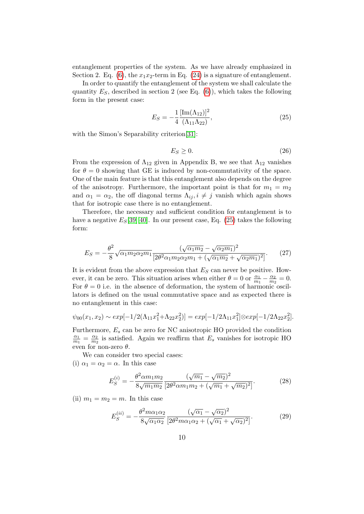entanglement properties of the system. As we have already emphasized in Section 2. Eq. [\(6\)](#page-4-1), the  $x_1x_2$ -term in Eq. [\(24\)](#page-8-0) is a signature of entanglement.

In order to quantify the entanglement of the system we shall calculate the quantity  $E_S$ , described in section 2 (see Eq. [\(6\)](#page-4-1)), which takes the following form in the present case:

<span id="page-9-0"></span>
$$
E_S = -\frac{1}{4} \frac{[\text{Im}(\Lambda_{12})]^2}{(\Lambda_{11}\Lambda_{22})},\tag{25}
$$

with the Simon's Separability criterion<sup>[\[31\]](#page-18-13)</sup>:

$$
E_S \ge 0. \tag{26}
$$

From the expression of  $\Lambda_{12}$  given in Appendix B, we see that  $\Lambda_{12}$  vanishes for  $\theta = 0$  showing that GE is induced by non-commutativity of the space. One of the main feature is that this entanglement also depends on the degree of the anisotropy. Furthermore, the important point is that for  $m_1 = m_2$ and  $\alpha_1 = \alpha_2$ , the off diagonal terms  $\Lambda_{ij}, i \neq j$  vanish which again shows that for isotropic case there is no entanglement.

Therefore, the necessary and sufficient condition for entanglement is to have a negative  $E_S[39][40]$  $E_S[39][40]$  $E_S[39][40]$ . In our present case, Eq. [\(25\)](#page-9-0) takes the following form:

<span id="page-9-3"></span>
$$
E_S = -\frac{\theta^2}{8} \sqrt{\alpha_1 m_2 \alpha_2 m_1} \frac{(\sqrt{\alpha_1 m_2} - \sqrt{\alpha_2 m_1})^2}{[2\theta^2 \alpha_1 m_2 \alpha_2 m_1 + (\sqrt{\alpha_1 m_2} + \sqrt{\alpha_2 m_1})^2]}.
$$
(27)

It is evident from the above expression that  $E<sub>S</sub>$  can never be positive. However, it can be zero. This situation arises when either  $\theta = 0$  or  $\frac{\alpha_1}{m_1} - \frac{\alpha_2}{m_2}$  $\frac{\alpha_2}{m_2}=0.$ For  $\theta = 0$  i.e. in the absence of deformation, the system of harmonic oscillators is defined on the usual commutative space and as expected there is no entanglement in this case:

<span id="page-9-1"></span>
$$
\psi_{00}(x_1, x_2) \sim exp[-1/2(\Lambda_{11}x_1^2 + \Lambda_{22}x_2^2)] = exp[-1/2\Lambda_{11}x_1^2] \otimes exp[-1/2\Lambda_{22}x_2^2].
$$

Furthermore,  $E_s$  can be zero for NC anisotropic HO provided the condition  $\alpha_1$  $\frac{\alpha_1}{m_1} = \frac{\alpha_2}{m_2}$  $\frac{\alpha_2}{m_2}$  is satisfied. Again we reaffirm that  $E_s$  vanishes for isotropic HO even for non-zero  $\theta$ .

We can consider two special cases: (i)  $\alpha_1 = \alpha_2 = \alpha$ . In this case

$$
E_S^{(i)} = -\frac{\theta^2 \alpha m_1 m_2}{8\sqrt{m_1 m_2}} \frac{(\sqrt{m_1} - \sqrt{m_2})^2}{[2\theta^2 \alpha m_1 m_2 + (\sqrt{m_1} + \sqrt{m_2})^2]}.
$$
 (28)

(ii)  $m_1 = m_2 = m$ . In this case

<span id="page-9-2"></span>
$$
E_S^{(ii)} = -\frac{\theta^2 m \alpha_1 \alpha_2}{8\sqrt{\alpha_1 \alpha_2}} \frac{(\sqrt{\alpha_1} - \sqrt{\alpha_2})^2}{[2\theta^2 m \alpha_1 \alpha_2 + (\sqrt{\alpha_1} + \sqrt{\alpha_2})^2]}.
$$
 (29)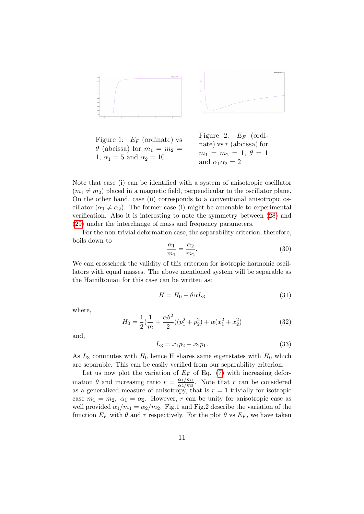

Figure 1:  $E_F$  (ordinate) vs  $\theta$  (abcissa) for  $m_1 = m_2 =$ 1,  $\alpha_1 = 5$  and  $\alpha_2 = 10$ Figure 2:  $E_F$  (ordinate) vs r (abcissa) for  $m_1 = m_2 = 1, \ \theta = 1$ and  $\alpha_1 \alpha_2 = 2$ 

Note that case (i) can be identified with a system of anisotropic oscillator  $(m_1 \neq m_2)$  placed in a magnetic field, perpendicular to the oscillator plane. On the other hand, case (ii) corresponds to a conventional anisotropic oscillator  $(\alpha_1 \neq \alpha_2)$ . The former case (i) might be amenable to experimental verification. Also it is interesting to note the symmetry between [\(28\)](#page-9-1) and [\(29\)](#page-9-2) under the interchange of mass and frequency parameters.

For the non-trivial deformation case, the separability criterion, therefore, boils down to

$$
\frac{\alpha_1}{m_1} = \frac{\alpha_2}{m_2}.\tag{30}
$$

We can crosscheck the validity of this criterion for isotropic harmonic oscillators with equal masses. The above mentioned system will be separable as the Hamiltonian for this case can be written as:

$$
H = H_0 - \theta \alpha L_3 \tag{31}
$$

where,

$$
H_0 = \frac{1}{2}(\frac{1}{m} + \frac{\alpha \theta^2}{2})(p_1^2 + p_2^2) + \alpha(x_1^2 + x_2^2)
$$
 (32)

and,

$$
L_3 = x_1 p_2 - x_2 p_1. \tag{33}
$$

As  $L_3$  commutes with  $H_0$  hence H shares same eigenstates with  $H_0$  which are separable. This can be easily verified from our separability criterion.

Let us now plot the variation of  $E_F$  of Eq. [\(7\)](#page-5-1) with increasing deformation  $\theta$  and increasing ratio  $r = \frac{\alpha_1/m_1}{\alpha_2/m_2}$  $\frac{\alpha_1/m_1}{\alpha_2/m_2}$ . Note that r can be considered as a generalized measure of anisotropy, that is  $r = 1$  trivially for isotropic case  $m_1 = m_2$ ,  $\alpha_1 = \alpha_2$ . However, r can be unity for anisotropic case as well provided  $\alpha_1/m_1 = \alpha_2/m_2$ . Fig.1 and Fig.2 describe the variation of the function  $E_F$  with  $\theta$  and r respectively. For the plot  $\theta$  vs  $E_F$ , we have taken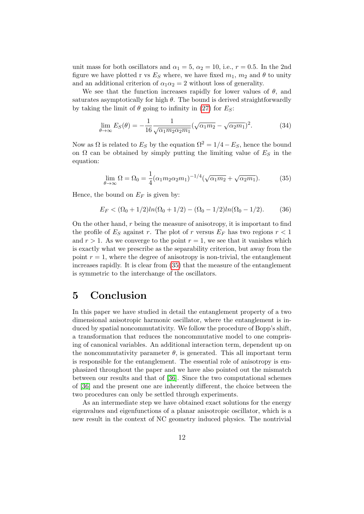unit mass for both oscillators and  $\alpha_1 = 5$ ,  $\alpha_2 = 10$ , i.e.,  $r = 0.5$ . In the 2nd figure we have plotted r vs  $E<sub>S</sub>$  where, we have fixed  $m_1$ ,  $m_2$  and  $\theta$  to unity and an additional criterion of  $\alpha_1 \alpha_2 = 2$  without loss of generality.

We see that the function increases rapidly for lower values of  $\theta$ , and saturates asymptotically for high  $\theta$ . The bound is derived straightforwardly by taking the limit of  $\theta$  going to infinity in [\(27\)](#page-9-3) for  $E_S$ :

$$
\lim_{\theta \to \infty} E_S(\theta) = -\frac{1}{16} \frac{1}{\sqrt{\alpha_1 m_2 \alpha_2 m_1}} (\sqrt{\alpha_1 m_2} - \sqrt{\alpha_2 m_1})^2.
$$
 (34)

Now as  $\Omega$  is related to  $E_S$  by the equation  $\Omega^2 = 1/4 - E_S$ , hence the bound on  $\Omega$  can be obtained by simply putting the limiting value of  $E<sub>S</sub>$  in the equation:

<span id="page-11-0"></span>
$$
\lim_{\theta \to \infty} \Omega = \Omega_0 = \frac{1}{4} (\alpha_1 m_2 \alpha_2 m_1)^{-1/4} (\sqrt{\alpha_1 m_2} + \sqrt{\alpha_2 m_1}).
$$
 (35)

Hence, the bound on  $E_F$  is given by:

$$
E_F < (\Omega_0 + 1/2)ln(\Omega_0 + 1/2) - (\Omega_0 - 1/2)ln(\Omega_0 - 1/2).
$$
 (36)

On the other hand,  $r$  being the measure of anisotropy, it is important to find the profile of  $E_S$  against r. The plot of r versus  $E_F$  has two regions  $r < 1$ and  $r > 1$ . As we converge to the point  $r = 1$ , we see that it vanishes which is exactly what we prescribe as the separability criterion, but away from the point  $r = 1$ , where the degree of anisotropy is non-trivial, the entanglement increases rapidly. It is clear from [\(35\)](#page-11-0) that the measure of the entanglement is symmetric to the interchange of the oscillators.

#### 5 Conclusion

In this paper we have studied in detail the entanglement property of a two dimensional anisotropic harmonic oscillator, where the entanglement is induced by spatial noncommutativity. We follow the procedure of Bopp's shift, a transformation that reduces the noncommutative model to one comprising of canonical variables. An additional interaction term, dependent up on the noncommutativity parameter  $\theta$ , is generated. This all important term is responsible for the entanglement. The essential role of anisotropy is emphasized throughout the paper and we have also pointed out the mismatch between our results and that of [\[36\]](#page-18-19). Since the two computational schemes of [\[36\]](#page-18-19) and the present one are inherently different, the choice between the two procedures can only be settled through experiments.

As an intermediate step we have obtained exact solutions for the energy eigenvalues and eigenfunctions of a planar anisotropic oscillator, which is a new result in the context of NC geometry induced physics. The nontrivial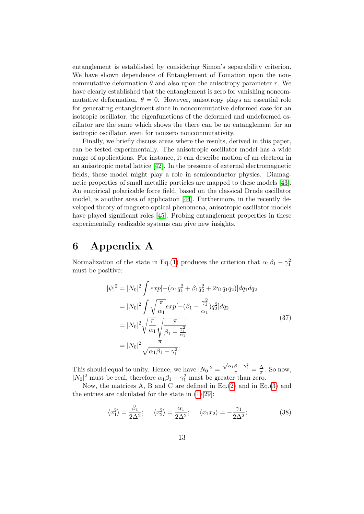entanglement is established by considering Simon's separability criterion. We have shown dependence of Entanglement of Fomation upon the noncommutative deformation  $\theta$  and also upon the anisotropy parameter r. We have clearly established that the entanglement is zero for vanishing noncommutative deformation,  $\theta = 0$ . However, anisotropy plays an essential role for generating entanglement since in noncommutative deformed case for an isotropic oscillator, the eigenfunctions of the deformed and undeformed oscillator are the same which shows the there can be no entanglement for an isotropic oscillator, even for nonzero noncommutativity.

Finally, we briefly discuss areas where the results, derived in this paper, can be tested experimentally. The anisotropic oscillator model has a wide range of applications. For instance, it can describe motion of an electron in an anisotropic metal lattice [\[42\]](#page-19-0). In the presence of external electromagnetic fields, these model might play a role in semiconductor physics. Diamagnetic properties of small metallic particles are mapped to these models [\[43\]](#page-19-1). An empirical polarizable force field, based on the classical Drude oscillator model, is another area of application [\[44\]](#page-19-2). Furthermore, in the recently developed theory of magneto-optical phenomena, anisotropic oscillator models have played significant roles [\[45\]](#page-19-3). Probing entanglement properties in these experimentally realizable systems can give new insights.

### 6 Appendix A

Normalization of the state in Eq.[\(1\)](#page-4-0) produces the criterion that  $\alpha_1\beta_1 - \gamma_1^2$ must be positive:

$$
|\psi|^2 = |N_0|^2 \int exp[-(\alpha_1 q_1^2 + \beta_1 q_2^2 + 2\gamma_1 q_1 q_2)]dq_1 dq_2
$$
  
\n
$$
= |N_0|^2 \int \sqrt{\frac{\pi}{\alpha_1}} exp[-(\beta_1 - \frac{\gamma_1^2}{\alpha_1}) q_2^2] dq_2
$$
  
\n
$$
= |N_0|^2 \sqrt{\frac{\pi}{\alpha_1}} \sqrt{\frac{\pi}{\beta_1 - \frac{\gamma_1^2}{\alpha_1}}}
$$
  
\n
$$
= |N_0|^2 \frac{\pi}{\sqrt{\alpha_1 \beta_1 - \gamma_1^2}}.
$$
\n(37)

This should equal to unity. Hence, we have  $|N_0|^2 =$  $\frac{\sqrt{\alpha_1\beta_1-\gamma_1^2}}{\pi} = \frac{\Delta}{\pi}$  $\frac{\Delta}{\pi}$ . So now,  $|N_0|^2$  must be real, therefore  $\alpha_1\beta_1 - \gamma_1^2$  must be greater than zero.

Now, the matrices  $A$ ,  $B$  and  $C$  are defined in Eq.[\(2\)](#page-4-2) and in Eq.[\(3\)](#page-4-2) and the entries are calculated for the state in [\(1\)](#page-4-0)[\[29\]](#page-18-12):

$$
\langle x_1^2 \rangle = \frac{\beta_1}{2\Delta^2}; \quad \langle x_2^2 \rangle = \frac{\alpha_1}{2\Delta^2}; \quad \langle x_1 x_2 \rangle = -\frac{\gamma_1}{2\Delta^2}; \tag{38}
$$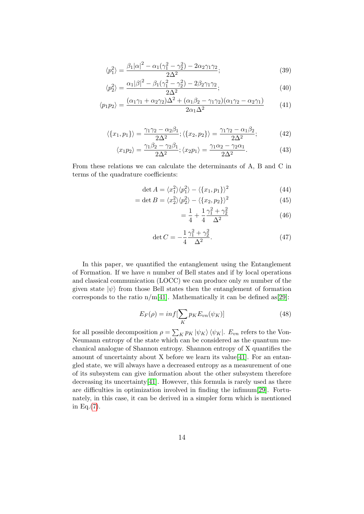$$
\langle p_1^2 \rangle = \frac{\beta_1 |\alpha|^2 - \alpha_1 (\gamma_1^2 - \gamma_2^2) - 2\alpha_2 \gamma_1 \gamma_2}{2\Delta^2};
$$
\n(39)

$$
\langle p_2^2 \rangle = \frac{\alpha_1 |\beta|^2 - \beta_1 (\gamma_1^2 - \gamma_2^2) - 2\beta_2 \gamma_1 \gamma_2}{2\Delta^2};
$$
\n(40)

$$
\langle p_1 p_2 \rangle = \frac{(\alpha_1 \gamma_1 + \alpha_2 \gamma_2) \Delta^2 + (\alpha_1 \beta_2 - \gamma_1 \gamma_2)(\alpha_1 \gamma_2 - \alpha_2 \gamma_1)}{2 \alpha_1 \Delta^2} \tag{41}
$$

$$
\langle \{x_1, p_1\} \rangle = \frac{\gamma_1 \gamma_2 - \alpha_2 \beta_1}{2\Delta^2}; \langle \{x_2, p_2\} \rangle = \frac{\gamma_1 \gamma_2 - \alpha_1 \beta_2}{2\Delta^2};\tag{42}
$$

$$
\langle x_1 p_2 \rangle = \frac{\gamma_1 \beta_2 - \gamma_2 \beta_1}{2\Delta^2}; \langle x_2 p_1 \rangle = \frac{\gamma_1 \alpha_2 - \gamma_2 \alpha_1}{2\Delta^2}.
$$
 (43)

From these relations we can calculate the determinants of A, B and C in terms of the quadrature coefficients:

$$
\det A = \langle x_1^2 \rangle \langle p_1^2 \rangle - \langle \{x_1, p_1\} \rangle^2 \tag{44}
$$

$$
= \det B = \langle x_2^2 \rangle \langle p_2^2 \rangle - \langle \{x_2, p_2\} \rangle^2 \tag{45}
$$

$$
=\frac{1}{4} + \frac{1}{4} \frac{\gamma_1^2 + \gamma_2^2}{\Delta^2} \tag{46}
$$

$$
\det C = -\frac{1}{4} \frac{\gamma_1^2 + \gamma_2^2}{\Delta^2}.
$$
 (47)

In this paper, we quantified the entanglement using the Entanglement of Formation. If we have  $n$  number of Bell states and if by local operations and classical communication (LOCC) we can produce only  $m$  number of the given state  $|\psi\rangle$  from those Bell states then the entanglement of formation corresponds to the ratio  $n/m[41]$  $n/m[41]$ . Mathematically it can be defined as [\[29\]](#page-18-12):

$$
E_F(\rho) = inf[\sum_K p_K E_{vn}(\psi_K)]
$$
\n(48)

for all possible decomposition  $\rho = \sum_{K} p_{K} |\psi_{K}\rangle \langle \psi_{K}|$ .  $E_{vn}$  refers to the Von-Neumann entropy of the state which can be considered as the quantum mechanical analogue of Shannon entropy. Shannon entropy of X quantifies the amount of uncertainty about  $X$  before we learn its value [\[41\]](#page-19-4). For an entangled state, we will always have a decreased entropy as a measurement of one of its subsystem can give information about the other subsystem therefore decreasing its uncertainty [\[41\]](#page-19-4). However, this formula is rarely used as there are difficulties in optimization involved in finding the infimum[\[29\]](#page-18-12). Fortunately, in this case, it can be derived in a simpler form which is mentioned in Eq.[\(7\)](#page-5-1).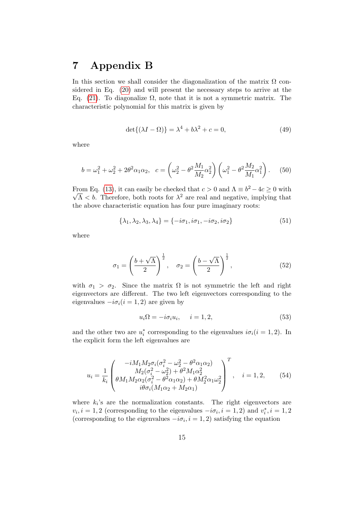### 7 Appendix B

In this section we shall consider the diagonalization of the matrix  $\Omega$  considered in Eq. [\(20\)](#page-8-1) and will present the necessary steps to arrive at the Eq. [\(21\)](#page-8-2). To diagonalize  $\Omega$ , note that it is not a symmetric matrix. The characteristic polynomial for this matrix is given by

$$
\det\{(\lambda I - \Omega)\} = \lambda^4 + b\lambda^2 + c = 0,\tag{49}
$$

where

$$
b = \omega_1^2 + \omega_2^2 + 2\theta^2 \alpha_1 \alpha_2, \quad c = \left(\omega_2^2 - \theta^2 \frac{M_1}{M_2} \alpha_2^2\right) \left(\omega_1^2 - \theta^2 \frac{M_2}{M_1} \alpha_1^2\right). \tag{50}
$$

From Eq. [\(13\)](#page-6-2), it can easily be checked that  $c > 0$  and  $\Lambda \equiv b^2 - 4c \ge 0$  with  $\overline{\Lambda} < b$ . Therefore, both roots for  $\lambda^2$  are real and negative, implying that the above characteristic equation has four pure imaginary roots:

$$
\{\lambda_1, \lambda_2, \lambda_3, \lambda_4\} = \{-i\sigma_1, i\sigma_1, -i\sigma_2, i\sigma_2\}
$$
\n(51)

where

$$
\sigma_1 = \left(\frac{b+\sqrt{\Lambda}}{2}\right)^{\frac{1}{2}}, \quad \sigma_2 = \left(\frac{b-\sqrt{\Lambda}}{2}\right)^{\frac{1}{2}},\tag{52}
$$

with  $\sigma_1 > \sigma_2$ . Since the matrix  $\Omega$  is not symmetric the left and right eigenvectors are different. The two left eigenvectors corresponding to the eigenvalues  $-i\sigma_i(i=1,2)$  are given by

<span id="page-14-0"></span>
$$
u_i \Omega = -i\sigma_i u_i, \quad i = 1, 2,
$$
\n<sup>(53)</sup>

and the other two are  $u_i^*$  corresponding to the eigenvalues  $i\sigma_i(i = 1, 2)$ . In the explicit form the left eigenvalues are

$$
u_{i} = \frac{1}{k_{i}} \begin{pmatrix} -iM_{1}M_{2}\sigma_{i}(\sigma_{i}^{2} - \omega_{2}^{2} - \theta^{2}\alpha_{1}\alpha_{2}) \\ M_{2}(\sigma_{i}^{2} - \omega_{2}^{2}) + \theta^{2}M_{1}\alpha_{2}^{2} \\ \theta M_{1}M_{2}\alpha_{2}(\sigma_{i}^{2} - \theta^{2}\alpha_{1}\alpha_{2}) + \theta M_{2}^{2}\alpha_{1}\omega_{2}^{2} \\ i\theta\sigma_{i}(M_{1}\alpha_{2} + M_{2}\alpha_{1}) \end{pmatrix}^{T}, \quad i = 1, 2, \quad (54)
$$

where  $k_i$ 's are the normalization constants. The right eigenvectors are  $v_i, i = 1, 2$  (corresponding to the eigenvalues  $-i\sigma_i, i = 1, 2$ ) and  $v_i^*, i = 1, 2$ (corresponding to the eigenvalues  $-i\sigma_i$ ,  $i = 1, 2$ ) satisfying the equation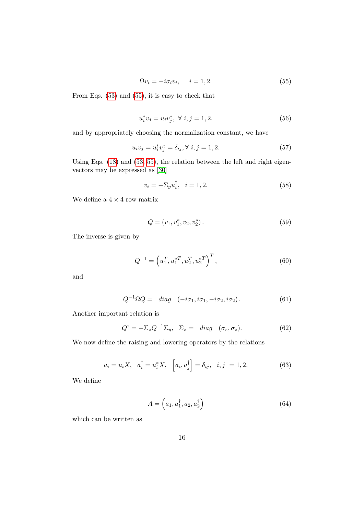<span id="page-15-0"></span>
$$
\Omega v_i = -i\sigma_i v_i, \quad i = 1, 2. \tag{55}
$$

From Eqs. [\(53\)](#page-14-0) and [\(55\)](#page-15-0), it is easy to check that

$$
u_i^* v_j = u_i v_j^*, \ \forall \ i, j = 1, 2. \tag{56}
$$

and by appropriately choosing the normalization constant, we have

$$
u_i v_j = u_i^* v_j^* = \delta_{ij}, \forall i, j = 1, 2.
$$
 (57)

Using Eqs. [\(18\)](#page-7-1) and [\(53,](#page-14-0) [55\)](#page-15-0), the relation between the left and right eigenvectors may be expressed as [\[30\]](#page-18-17)

$$
v_i = -\Sigma_y u_i^{\dagger}, \quad i = 1, 2. \tag{58}
$$

We define a  $4\times 4$  row matrix

$$
Q = (v_1, v_1^*, v_2, v_2^*). \tag{59}
$$

The inverse is given by

$$
Q^{-1} = \left(u_1^T, u_1^{*T}, u_2^T, u_2^{*T}\right)^T, \tag{60}
$$

and

$$
Q^{-1}\Omega Q = diag \quad (-i\sigma_1, i\sigma_1, -i\sigma_2, i\sigma_2). \tag{61}
$$

Another important relation is

<span id="page-15-1"></span>
$$
Q^{\dagger} = -\Sigma_z Q^{-1} \Sigma_y, \quad \Sigma_z = \text{diag} \quad (\sigma_z, \sigma_z). \tag{62}
$$

We now define the raising and lowering operators by the relations

$$
a_i = u_i X, \quad a_i^{\dagger} = u_i^* X, \quad [a_i, a_j^{\dagger}] = \delta_{ij}, \quad i, j = 1, 2.
$$
 (63)

We define

$$
A = \left(a_1, a_1^\dagger, a_2, a_2^\dagger\right) \tag{64}
$$

which can be written as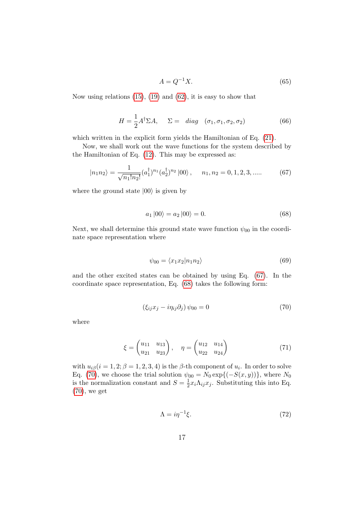$$
A = Q^{-1}X.\tag{65}
$$

Now using relations [\(15\)](#page-7-2), [\(19\)](#page-7-3) and [\(62\)](#page-15-1), it is easy to show that

$$
H = \frac{1}{2}A^{\dagger}\Sigma A, \quad \Sigma = \text{diag} \quad (\sigma_1, \sigma_1, \sigma_2, \sigma_2) \tag{66}
$$

which written in the explicit form yields the Hamiltonian of Eq.  $(21)$ .

Now, we shall work out the wave functions for the system described by the Hamiltonian of Eq. [\(12\)](#page-6-1). This may be expressed as:

<span id="page-16-0"></span>
$$
|n_1 n_2\rangle = \frac{1}{\sqrt{n_1! n_2!}} (a_1^{\dagger})^{n_1} (a_2^{\dagger})^{n_2} |00\rangle, \quad n_1, n_2 = 0, 1, 2, 3, .... \tag{67}
$$

where the ground state  $|00\rangle$  is given by

<span id="page-16-1"></span>
$$
a_1 |00\rangle = a_2 |00\rangle = 0.
$$
 (68)

Next, we shall determine this ground state wave function  $\psi_{00}$  in the coordinate space representation where

$$
\psi_{00} = \langle x_1 x_2 | n_1 n_2 \rangle \tag{69}
$$

and the other excited states can be obtained by using Eq. [\(67\)](#page-16-0). In the coordinate space representation, Eq. [\(68\)](#page-16-1) takes the following form:

<span id="page-16-2"></span>
$$
\left(\xi_{ij}x_j - i\eta_{ij}\partial_j\right)\psi_{00} = 0\tag{70}
$$

where

$$
\xi = \begin{pmatrix} u_{11} & u_{13} \\ u_{21} & u_{23} \end{pmatrix}, \quad \eta = \begin{pmatrix} u_{12} & u_{14} \\ u_{22} & u_{24} \end{pmatrix}
$$
(71)

with  $u_{i\beta}(i=1,2;\beta=1,2,3,4)$  is the  $\beta$ -th component of  $u_i$ . In order to solve Eq. [\(70\)](#page-16-2), we choose the trial solution  $\psi_{00} = N_0 \exp\{(-S(x, y))\}$ , where  $N_0$ is the normalization constant and  $S=\frac{1}{2}$  $\frac{1}{2}x_i\Lambda_{ij}x_j$ . Substituting this into Eq. [\(70\)](#page-16-2), we get

$$
\Lambda = i\eta^{-1}\xi. \tag{72}
$$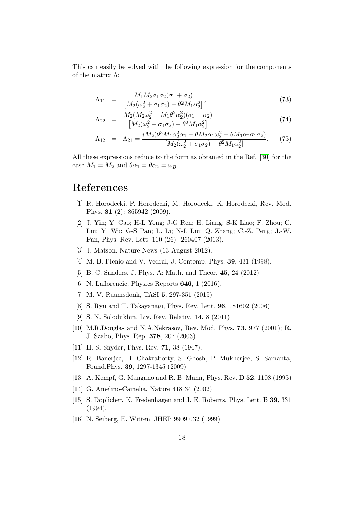This can easily be solved with the following expression for the components of the matrix Λ:

$$
\Lambda_{11} = \frac{M_1 M_2 \sigma_1 \sigma_2 (\sigma_1 + \sigma_2)}{\left[M_2(\omega_2^2 + \sigma_1 \sigma_2) - \theta^2 M_1 \alpha_2^2\right]},
$$
\n(73)

$$
\Lambda_{22} = \frac{M_2(M_2\omega_2^2 - M_1\theta^2\alpha_2^2)(\sigma_1 + \sigma_2)}{[M_2(\omega_2^2 + \sigma_1\sigma_2) - \theta^2M_1\alpha_2^2]},
$$
\n(74)

$$
\Lambda_{12} = \Lambda_{21} = \frac{iM_2(\theta^3 M_1 \alpha_2^2 \alpha_1 - \theta M_2 \alpha_1 \omega_2^2 + \theta M_1 \alpha_2 \sigma_1 \sigma_2)}{[M_2(\omega_2^2 + \sigma_1 \sigma_2) - \theta^2 M_1 \alpha_2^2]}.
$$
 (75)

All these expressions reduce to the form as obtained in the Ref. [\[30\]](#page-18-17) for the case  $M_1 = M_2$  and  $\theta \alpha_1 = \theta \alpha_2 = \omega_B$ .

### References

- <span id="page-17-0"></span>[1] R. Horodecki, P. Horodecki, M. Horodecki, K. Horodecki, Rev. Mod. Phys. 81 (2): 865942 (2009).
- <span id="page-17-1"></span>[2] J. Yin; Y. Cao; H-L Yong; J-G Ren; H. Liang; S-K Liao; F. Zhou; C. Liu; Y. Wu; G-S Pan; L. Li; N-L Liu; Q. Zhang; C.-Z. Peng; J.-W. Pan, Phys. Rev. Lett. 110 (26): 260407 (2013).
- <span id="page-17-2"></span>[3] J. Matson. Nature News (13 August 2012).
- <span id="page-17-3"></span>[4] M. B. Plenio and V. Vedral, J. Contemp. Phys. 39, 431 (1998).
- <span id="page-17-4"></span>[5] B. C. Sanders, J. Phys. A: Math. and Theor. 45, 24 (2012).
- <span id="page-17-5"></span>[6] N. Laflorencie, Physics Reports 646, 1 (2016).
- <span id="page-17-6"></span>[7] M. V. Raamsdonk, TASI 5, 297-351 (2015)
- <span id="page-17-7"></span>[8] S. Ryu and T. Takayanagi, Phys. Rev. Lett. 96, 181602 (2006)
- <span id="page-17-8"></span>[9] S. N. Solodukhin, Liv. Rev. Relativ. 14, 8 (2011)
- <span id="page-17-9"></span>[10] M.R.Douglas and N.A.Nekrasov, Rev. Mod. Phys. 73, 977 (2001); R. J. Szabo, Phys. Rep. 378, 207 (2003).
- <span id="page-17-10"></span>[11] H. S. Snyder, Phys. Rev. 71, 38 (1947).
- <span id="page-17-11"></span>[12] R. Banerjee, B. Chakraborty, S. Ghosh, P. Mukherjee, S. Samanta, Found.Phys. 39, 1297-1345 (2009)
- <span id="page-17-12"></span>[13] A. Kempf, G. Mangano and R. B. Mann, Phys. Rev. D 52, 1108 (1995)
- <span id="page-17-13"></span>[14] G. Amelino-Camelia, Nature 418 34 (2002)
- <span id="page-17-14"></span>[15] S. Doplicher, K. Fredenhagen and J. E. Roberts, Phys. Lett. B 39, 331 (1994).
- <span id="page-17-15"></span>[16] N. Seiberg, E. Witten, JHEP 9909 032 (1999)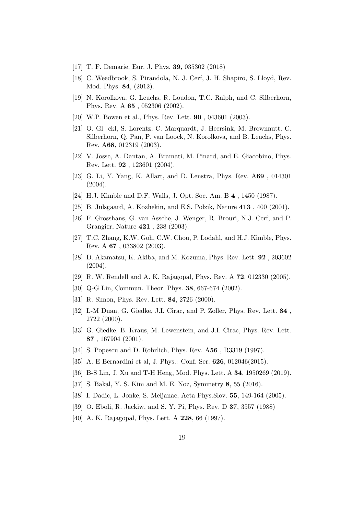- <span id="page-18-0"></span>[17] T. F. Demarie, Eur. J. Phys. 39, 035302 (2018)
- <span id="page-18-1"></span>[18] C. Weedbrook, S. Pirandola, N. J. Cerf, J. H. Shapiro, S. Lloyd, Rev. Mod. Phys. 84, (2012).
- <span id="page-18-2"></span>[19] N. Korolkova, G. Leuchs, R. Loudon, T.C. Ralph, and C. Silberhorn, Phys. Rev. A 65 , 052306 (2002).
- <span id="page-18-3"></span>[20] W.P. Bowen et al., Phys. Rev. Lett. **90**, 043601 (2003).
- <span id="page-18-4"></span>[21] O. Gl ckl, S. Lorentz, C. Marquardt, J. Heersink, M. Brownnutt, C. Silberhorn, Q. Pan, P. van Loock, N. Korolkova, and B. Leuchs, Phys. Rev. A68, 012319 (2003).
- <span id="page-18-5"></span>[22] V. Josse, A. Dantan, A. Bramati, M. Pinard, and E. Giacobino, Phys. Rev. Lett. 92 , 123601 (2004).
- <span id="page-18-6"></span>[23] G. Li, Y. Yang, K. Allart, and D. Lenstra, Phys. Rev. A69 , 014301  $(2004).$
- <span id="page-18-7"></span>[24] H.J. Kimble and D.F. Walls, J. Opt. Soc. Am. B 4 , 1450 (1987).
- <span id="page-18-8"></span>[25] B. Julsgaard, A. Kozhekin, and E.S. Polzik, Nature 413 , 400 (2001).
- <span id="page-18-9"></span>[26] F. Grosshans, G. van Assche, J. Wenger, R. Brouri, N.J. Cerf, and P. Grangier, Nature 421 , 238 (2003).
- <span id="page-18-10"></span>[27] T.C. Zhang, K.W. Goh, C.W. Chou, P. Lodahl, and H.J. Kimble, Phys. Rev. A 67 , 033802 (2003).
- <span id="page-18-11"></span>[28] D. Akamatsu, K. Akiba, and M. Kozuma, Phys. Rev. Lett. 92 , 203602  $(2004).$
- <span id="page-18-12"></span>[29] R. W. Rendell and A. K. Rajagopal, Phys. Rev. A 72, 012330 (2005).
- <span id="page-18-17"></span>[30] Q-G Lin, Commun. Theor. Phys. 38, 667-674 (2002).
- <span id="page-18-13"></span>[31] R. Simon, Phys. Rev. Lett. **84**, 2726 (2000).
- <span id="page-18-14"></span>[32] L-M Duan, G. Giedke, J.I. Cirac, and P. Zoller, Phys. Rev. Lett. 84 , 2722 (2000).
- <span id="page-18-15"></span>[33] G. Giedke, B. Kraus, M. Lewenstein, and J.I. Cirac, Phys. Rev. Lett. 87 , 167904 (2001).
- <span id="page-18-16"></span>[34] S. Popescu and D. Rohrlich, Phys. Rev. A56 , R3319 (1997).
- <span id="page-18-18"></span>[35] A. E Bernardini et al, J. Phys.: Conf. Ser. **626**, 012046(2015).
- <span id="page-18-19"></span>[36] B-S Lin, J. Xu and T-H Heng, Mod. Phys. Lett. A 34, 1950269 (2019).
- <span id="page-18-20"></span>[37] S. Bakal, Y. S. Kim and M. E. Noz, Symmetry 8, 55 (2016).
- <span id="page-18-21"></span>[38] I. Dadic, L. Jonke, S. Meljanac, Acta Phys.Slov. 55, 149-164 (2005).
- <span id="page-18-22"></span>[39] O. Eboli, R. Jackiw, and S. Y. Pi, Phys. Rev. D 37, 3557 (1988)
- <span id="page-18-23"></span>[40] A. K. Rajagopal, Phys. Lett. A **228**, 66 (1997).